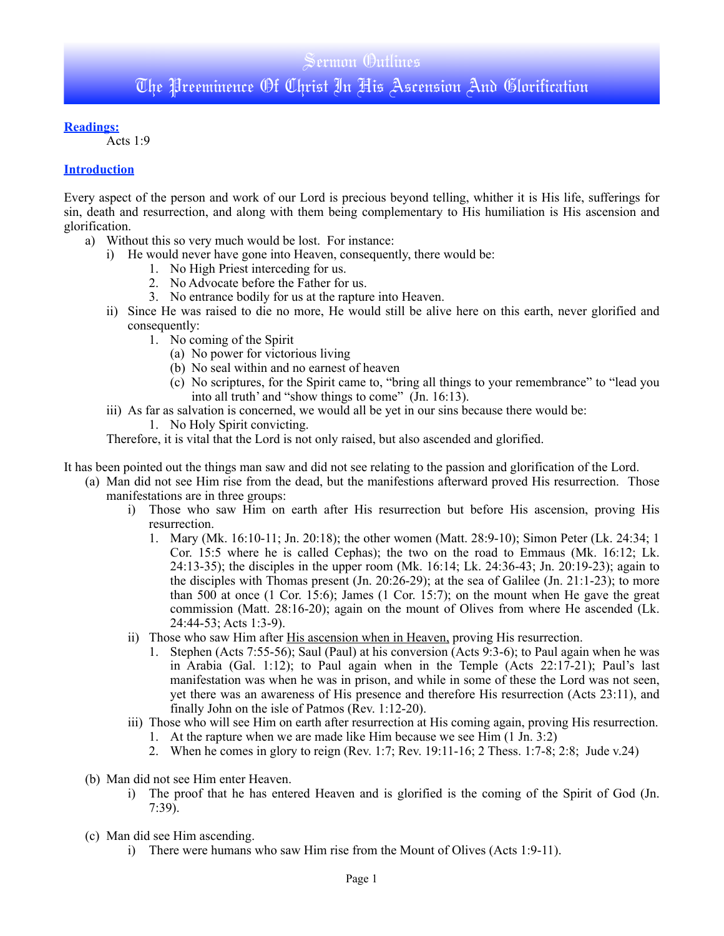#### **Readings:**

Acts 1:9

#### **Introduction**

Every aspect of the person and work of our Lord is precious beyond telling, whither it is His life, sufferings for sin, death and resurrection, and along with them being complementary to His humiliation is His ascension and glorification.

- a) Without this so very much would be lost. For instance:
	- i) He would never have gone into Heaven, consequently, there would be:
		- 1. No High Priest interceding for us.
		- 2. No Advocate before the Father for us.
		- 3. No entrance bodily for us at the rapture into Heaven.
	- ii) Since He was raised to die no more, He would still be alive here on this earth, never glorified and consequently:
		- 1. No coming of the Spirit
			- (a) No power for victorious living
			- (b) No seal within and no earnest of heaven
			- (c) No scriptures, for the Spirit came to, "bring all things to your remembrance" to "lead you into all truth' and "show things to come" (Jn. 16:13).
	- iii) As far as salvation is concerned, we would all be yet in our sins because there would be:
		- 1. No Holy Spirit convicting.

Therefore, it is vital that the Lord is not only raised, but also ascended and glorified.

- It has been pointed out the things man saw and did not see relating to the passion and glorification of the Lord.
	- (a) Man did not see Him rise from the dead, but the manifestions afterward proved His resurrection. Those manifestations are in three groups:
		- i) Those who saw Him on earth after His resurrection but before His ascension, proving His resurrection.
			- 1. Mary (Mk. 16:10-11; Jn. 20:18); the other women (Matt. 28:9-10); Simon Peter (Lk. 24:34; 1 Cor. 15:5 where he is called Cephas); the two on the road to Emmaus (Mk. 16:12; Lk. 24:13-35); the disciples in the upper room (Mk. 16:14; Lk. 24:36-43; Jn. 20:19-23); again to the disciples with Thomas present (Jn. 20:26-29); at the sea of Galilee (Jn. 21:1-23); to more than 500 at once  $(1 \text{ Cor. } 15:6)$ ; James  $(1 \text{ Cor. } 15:7)$ ; on the mount when He gave the great commission (Matt. 28:16-20); again on the mount of Olives from where He ascended (Lk. 24:44-53; Acts 1:3-9).
		- ii) Those who saw Him after His ascension when in Heaven, proving His resurrection.
			- 1. Stephen (Acts 7:55-56); Saul (Paul) at his conversion (Acts 9:3-6); to Paul again when he was in Arabia (Gal. 1:12); to Paul again when in the Temple (Acts 22:17-21); Paul's last manifestation was when he was in prison, and while in some of these the Lord was not seen, yet there was an awareness of His presence and therefore His resurrection (Acts 23:11), and finally John on the isle of Patmos (Rev. 1:12-20).
		- iii) Those who will see Him on earth after resurrection at His coming again, proving His resurrection.
			- 1. At the rapture when we are made like Him because we see Him (1 Jn. 3:2)
			- 2. When he comes in glory to reign (Rev. 1:7; Rev. 19:11-16; 2 Thess. 1:7-8; 2:8; Jude v.24)
	- (b) Man did not see Him enter Heaven.
		- i) The proof that he has entered Heaven and is glorified is the coming of the Spirit of God (Jn. 7:39).
	- (c) Man did see Him ascending.
		- i) There were humans who saw Him rise from the Mount of Olives (Acts 1:9-11).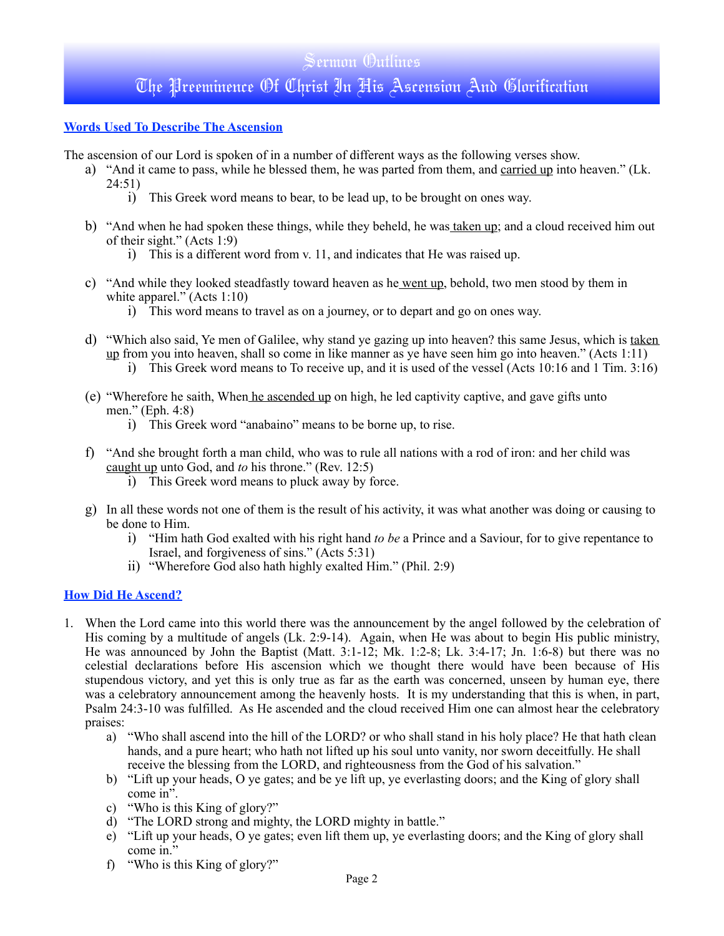# Sermon Outlines The Preeminence Of Christ In His Ascension And Glorification

#### **Words Used To Describe The Ascension**

- The ascension of our Lord is spoken of in a number of different ways as the following verses show.
	- a) "And it came to pass, while he blessed them, he was parted from them, and carried up into heaven." (Lk. 24:51)
		- i) This Greek word means to bear, to be lead up, to be brought on ones way.
	- b) "And when he had spoken these things, while they beheld, he was taken up; and a cloud received him out of their sight." (Acts 1:9)
		- i) This is a different word from v. 11, and indicates that He was raised up.
	- c) "And while they looked steadfastly toward heaven as he went up, behold, two men stood by them in white apparel." (Acts 1:10)
		- i) This word means to travel as on a journey, or to depart and go on ones way.
	- d) "Which also said, Ye men of Galilee, why stand ye gazing up into heaven? this same Jesus, which is taken up from you into heaven, shall so come in like manner as ye have seen him go into heaven." (Acts 1:11)
		- i) This Greek word means to To receive up, and it is used of the vessel (Acts 10:16 and 1 Tim. 3:16)
	- (e) "Wherefore he saith, When he ascended up on high, he led captivity captive, and gave gifts unto men." (Eph. 4:8)
		- i) This Greek word "anabaino" means to be borne up, to rise.
	- f) "And she brought forth a man child, who was to rule all nations with a rod of iron: and her child was caught up unto God, and *to* his throne." (Rev. 12:5)
		- i) This Greek word means to pluck away by force.
	- g) In all these words not one of them is the result of his activity, it was what another was doing or causing to be done to Him.
		- i) "Him hath God exalted with his right hand *to be* a Prince and a Saviour, for to give repentance to Israel, and forgiveness of sins." (Acts 5:31)
		- ii) "Wherefore God also hath highly exalted Him." (Phil. 2:9)

#### **How Did He Ascend?**

- 1. When the Lord came into this world there was the announcement by the angel followed by the celebration of His coming by a multitude of angels (Lk. 2:9-14). Again, when He was about to begin His public ministry, He was announced by John the Baptist (Matt. 3:1-12; Mk. 1:2-8; Lk. 3:4-17; Jn. 1:6-8) but there was no celestial declarations before His ascension which we thought there would have been because of His stupendous victory, and yet this is only true as far as the earth was concerned, unseen by human eye, there was a celebratory announcement among the heavenly hosts. It is my understanding that this is when, in part, Psalm 24:3-10 was fulfilled. As He ascended and the cloud received Him one can almost hear the celebratory praises:
	- a) "Who shall ascend into the hill of the LORD? or who shall stand in his holy place? He that hath clean hands, and a pure heart; who hath not lifted up his soul unto vanity, nor sworn deceitfully. He shall receive the blessing from the LORD, and righteousness from the God of his salvation."
	- b) "Lift up your heads, O ye gates; and be ye lift up, ye everlasting doors; and the King of glory shall come in".
	- c) "Who is this King of glory?"
	- d) "The LORD strong and mighty, the LORD mighty in battle."
	- e) "Lift up your heads, O ye gates; even lift them up, ye everlasting doors; and the King of glory shall come in."
	- f) "Who is this King of glory?"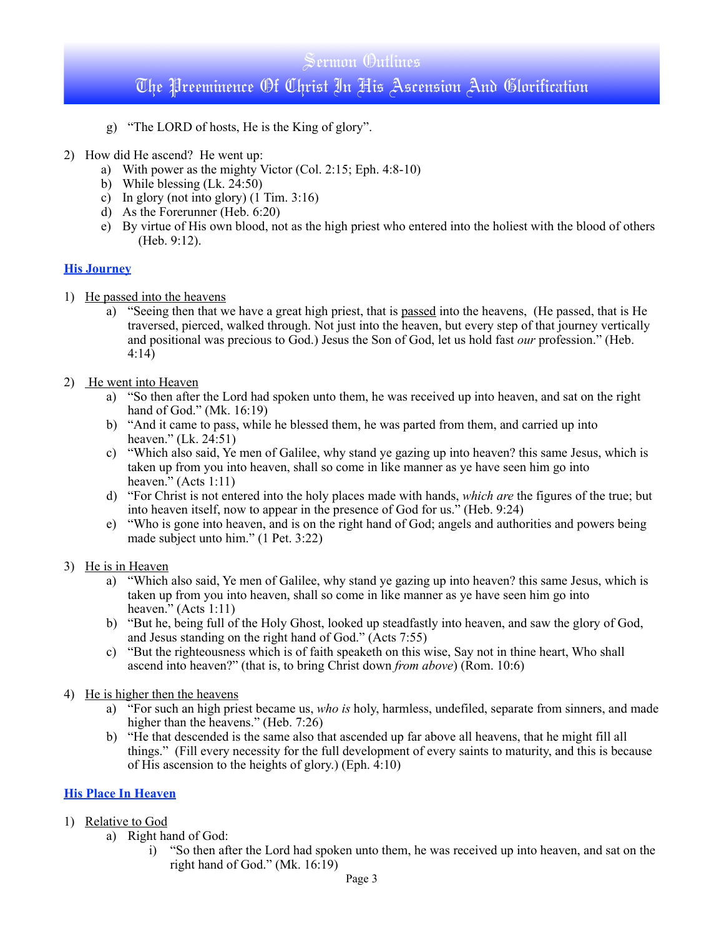## Sermon Outlines The Preeminence Of Christ In His Ascension And Glorification

- g) "The LORD of hosts, He is the King of glory".
- 2) How did He ascend? He went up:
	- a) With power as the mighty Victor (Col. 2:15; Eph. 4:8-10)
	- b) While blessing (Lk. 24:50)
	- c) In glory (not into glory)  $(1 \text{ Tim. } 3:16)$
	- d) As the Forerunner (Heb. 6:20)
	- e) By virtue of His own blood, not as the high priest who entered into the holiest with the blood of others (Heb. 9:12).

#### **His Journey**

- 1) He passed into the heavens
	- a) "Seeing then that we have a great high priest, that is passed into the heavens, (He passed, that is He traversed, pierced, walked through. Not just into the heaven, but every step of that journey vertically and positional was precious to God.) Jesus the Son of God, let us hold fast *our* profession." (Heb. 4:14)
- 2) He went into Heaven
	- a) "So then after the Lord had spoken unto them, he was received up into heaven, and sat on the right hand of God." (Mk. 16:19)
	- b) "And it came to pass, while he blessed them, he was parted from them, and carried up into heaven." (Lk. 24:51)
	- c) "Which also said, Ye men of Galilee, why stand ye gazing up into heaven? this same Jesus, which is taken up from you into heaven, shall so come in like manner as ye have seen him go into heaven." (Acts 1:11)
	- d) "For Christ is not entered into the holy places made with hands, *which are* the figures of the true; but into heaven itself, now to appear in the presence of God for us." (Heb. 9:24)
	- e) "Who is gone into heaven, and is on the right hand of God; angels and authorities and powers being made subject unto him." (1 Pet. 3:22)

#### 3) He is in Heaven

- a) "Which also said, Ye men of Galilee, why stand ye gazing up into heaven? this same Jesus, which is taken up from you into heaven, shall so come in like manner as ye have seen him go into heaven." (Acts 1:11)
- b) "But he, being full of the Holy Ghost, looked up steadfastly into heaven, and saw the glory of God, and Jesus standing on the right hand of God." (Acts 7:55)
- c) "But the righteousness which is of faith speaketh on this wise, Say not in thine heart, Who shall ascend into heaven?" (that is, to bring Christ down *from above*) (Rom. 10:6)

#### 4) He is higher then the heavens

- a) "For such an high priest became us, *who is* holy, harmless, undefiled, separate from sinners, and made higher than the heavens." (Heb. 7:26)
- b) "He that descended is the same also that ascended up far above all heavens, that he might fill all things." (Fill every necessity for the full development of every saints to maturity, and this is because of His ascension to the heights of glory.) (Eph. 4:10)

#### **His Place In Heaven**

#### 1) Relative to God

- a) Right hand of God:
	- i) "So then after the Lord had spoken unto them, he was received up into heaven, and sat on the right hand of God." (Mk. 16:19)